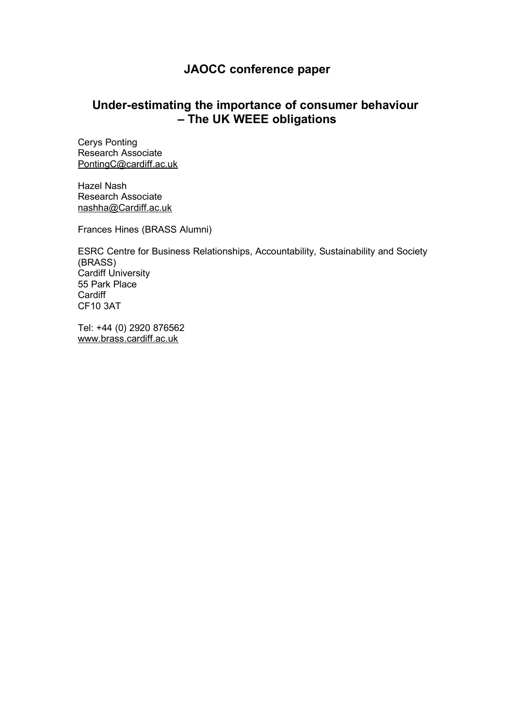# **JAOCC conference paper**

# **Under-estimating the importance of consumer behaviour – The UK WEEE obligations**

Cerys Ponting Research Associate [PontingC@cardiff.ac.uk](mailto:PontingC@cardiff.ac.uk)

Hazel Nash Research Associate [nashha@Cardiff.ac.uk](mailto:nashha@Cardiff.ac.uk)

Frances Hines (BRASS Alumni)

ESRC Centre for Business Relationships, Accountability, Sustainability and Society (BRASS) Cardiff University 55 Park Place **Cardiff** CF10 3AT

Tel: +44 (0) 2920 876562 [www.brass.cardiff.ac.uk](http://www.brass.cardiff.ac.uk/)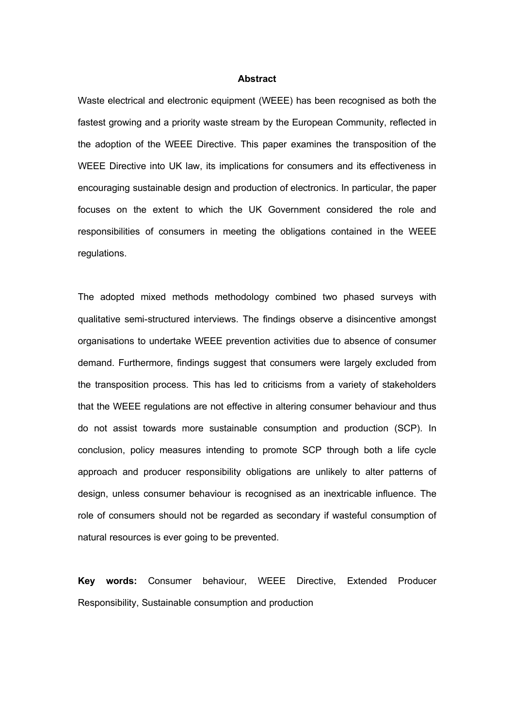#### **Abstract**

Waste electrical and electronic equipment (WEEE) has been recognised as both the fastest growing and a priority waste stream by the European Community, reflected in the adoption of the WEEE Directive. This paper examines the transposition of the WEEE Directive into UK law, its implications for consumers and its effectiveness in encouraging sustainable design and production of electronics. In particular, the paper focuses on the extent to which the UK Government considered the role and responsibilities of consumers in meeting the obligations contained in the WEEE regulations.

The adopted mixed methods methodology combined two phased surveys with qualitative semi-structured interviews. The findings observe a disincentive amongst organisations to undertake WEEE prevention activities due to absence of consumer demand. Furthermore, findings suggest that consumers were largely excluded from the transposition process. This has led to criticisms from a variety of stakeholders that the WEEE regulations are not effective in altering consumer behaviour and thus do not assist towards more sustainable consumption and production (SCP). In conclusion, policy measures intending to promote SCP through both a life cycle approach and producer responsibility obligations are unlikely to alter patterns of design, unless consumer behaviour is recognised as an inextricable influence. The role of consumers should not be regarded as secondary if wasteful consumption of natural resources is ever going to be prevented.

**Key words:** Consumer behaviour, WEEE Directive, Extended Producer Responsibility, Sustainable consumption and production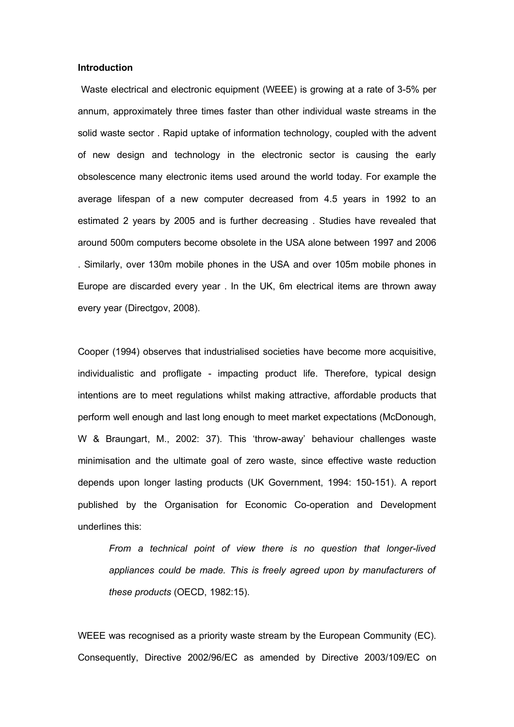### **Introduction**

 Waste electrical and electronic equipment (WEEE) is growing at a rate of 3-5% per annum, approximately three times faster than other individual waste streams in the solid waste sector . Rapid uptake of information technology, coupled with the advent of new design and technology in the electronic sector is causing the early obsolescence many electronic items used around the world today. For example the average lifespan of a new computer decreased from 4.5 years in 1992 to an estimated 2 years by 2005 and is further decreasing . Studies have revealed that around 500m computers become obsolete in the USA alone between 1997 and 2006 . Similarly, over 130m mobile phones in the USA and over 105m mobile phones in Europe are discarded every year . In the UK, 6m electrical items are thrown away every year (Directgov, 2008).

Cooper (1994) observes that industrialised societies have become more acquisitive, individualistic and profligate - impacting product life. Therefore, typical design intentions are to meet regulations whilst making attractive, affordable products that perform well enough and last long enough to meet market expectations (McDonough, W & Braungart, M., 2002: 37). This 'throw-away' behaviour challenges waste minimisation and the ultimate goal of zero waste, since effective waste reduction depends upon longer lasting products (UK Government, 1994: 150-151). A report published by the Organisation for Economic Co-operation and Development underlines this:

*From a technical point of view there is no question that longer-lived appliances could be made. This is freely agreed upon by manufacturers of these products* (OECD, 1982:15).

WEEE was recognised as a priority waste stream by the European Community (EC). Consequently, Directive 2002/96/EC as amended by Directive 2003/109/EC on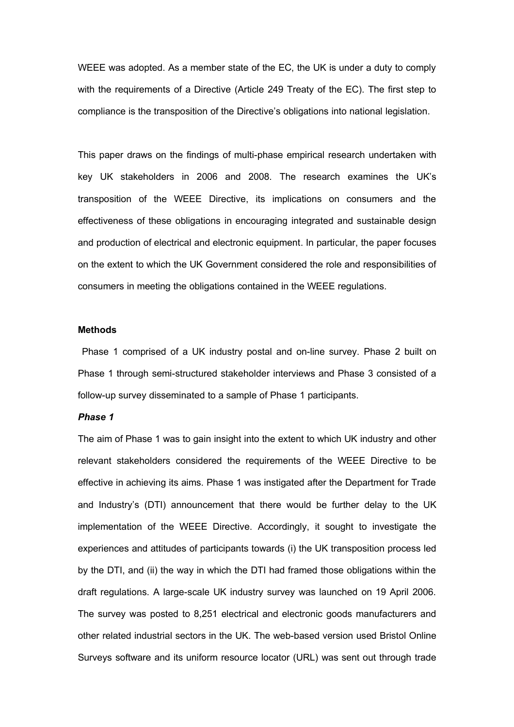WEEE was adopted. As a member state of the EC, the UK is under a duty to comply with the requirements of a Directive (Article 249 Treaty of the EC). The first step to compliance is the transposition of the Directive's obligations into national legislation.

This paper draws on the findings of multi-phase empirical research undertaken with key UK stakeholders in 2006 and 2008. The research examines the UK's transposition of the WEEE Directive, its implications on consumers and the effectiveness of these obligations in encouraging integrated and sustainable design and production of electrical and electronic equipment. In particular, the paper focuses on the extent to which the UK Government considered the role and responsibilities of consumers in meeting the obligations contained in the WEEE regulations.

### **Methods**

 Phase 1 comprised of a UK industry postal and on-line survey. Phase 2 built on Phase 1 through semi-structured stakeholder interviews and Phase 3 consisted of a follow-up survey disseminated to a sample of Phase 1 participants.

## *Phase 1*

The aim of Phase 1 was to gain insight into the extent to which UK industry and other relevant stakeholders considered the requirements of the WEEE Directive to be effective in achieving its aims. Phase 1 was instigated after the Department for Trade and Industry's (DTI) announcement that there would be further delay to the UK implementation of the WEEE Directive. Accordingly, it sought to investigate the experiences and attitudes of participants towards (i) the UK transposition process led by the DTI, and (ii) the way in which the DTI had framed those obligations within the draft regulations. A large-scale UK industry survey was launched on 19 April 2006. The survey was posted to 8,251 electrical and electronic goods manufacturers and other related industrial sectors in the UK. The web-based version used Bristol Online Surveys software and its uniform resource locator (URL) was sent out through trade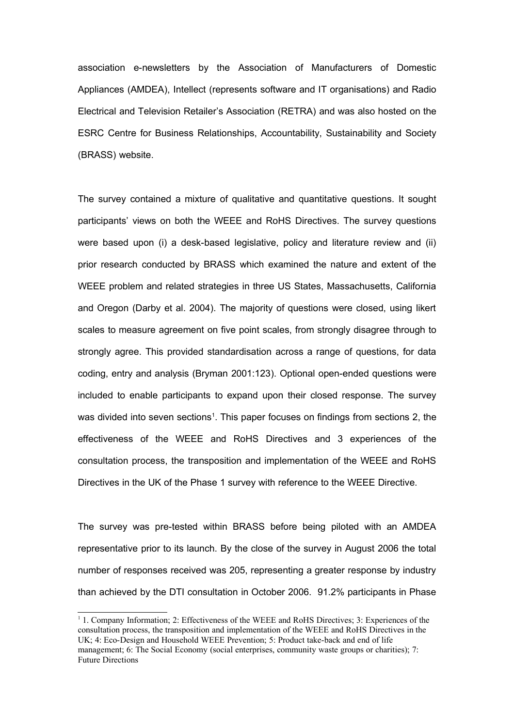association e-newsletters by the Association of Manufacturers of Domestic Appliances (AMDEA), Intellect (represents software and IT organisations) and Radio Electrical and Television Retailer's Association (RETRA) and was also hosted on the ESRC Centre for Business Relationships, Accountability, Sustainability and Society (BRASS) website.

The survey contained a mixture of qualitative and quantitative questions. It sought participants' views on both the WEEE and RoHS Directives. The survey questions were based upon (i) a desk-based legislative, policy and literature review and (ii) prior research conducted by BRASS which examined the nature and extent of the WEEE problem and related strategies in three US States, Massachusetts, California and Oregon (Darby et al. 2004). The majority of questions were closed, using likert scales to measure agreement on five point scales, from strongly disagree through to strongly agree. This provided standardisation across a range of questions, for data coding, entry and analysis (Bryman 2001:123). Optional open-ended questions were included to enable participants to expand upon their closed response. The survey was divided into seven sections<sup>[1](#page-4-0)</sup>. This paper focuses on findings from sections 2, the effectiveness of the WEEE and RoHS Directives and 3 experiences of the consultation process, the transposition and implementation of the WEEE and RoHS Directives in the UK of the Phase 1 survey with reference to the WEEE Directive.

The survey was pre-tested within BRASS before being piloted with an AMDEA representative prior to its launch. By the close of the survey in August 2006 the total number of responses received was 205, representing a greater response by industry than achieved by the DTI consultation in October 2006. 91.2% participants in Phase

<span id="page-4-0"></span><sup>&</sup>lt;sup>1</sup> 1. Company Information; 2: Effectiveness of the WEEE and RoHS Directives; 3: Experiences of the consultation process, the transposition and implementation of the WEEE and RoHS Directives in the UK; 4: Eco-Design and Household WEEE Prevention; 5: Product take-back and end of life management; 6: The Social Economy (social enterprises, community waste groups or charities); 7: Future Directions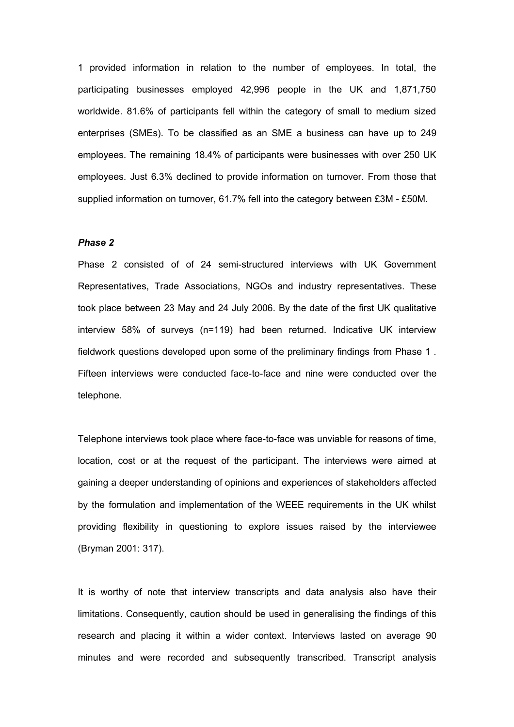1 provided information in relation to the number of employees. In total, the participating businesses employed 42,996 people in the UK and 1,871,750 worldwide. 81.6% of participants fell within the category of small to medium sized enterprises (SMEs). To be classified as an SME a business can have up to 249 employees. The remaining 18.4% of participants were businesses with over 250 UK employees. Just 6.3% declined to provide information on turnover. From those that supplied information on turnover, 61.7% fell into the category between £3M - £50M.

## *Phase 2*

Phase 2 consisted of of 24 semi-structured interviews with UK Government Representatives, Trade Associations, NGOs and industry representatives. These took place between 23 May and 24 July 2006. By the date of the first UK qualitative interview 58% of surveys (n=119) had been returned. Indicative UK interview fieldwork questions developed upon some of the preliminary findings from Phase 1 . Fifteen interviews were conducted face-to-face and nine were conducted over the telephone.

Telephone interviews took place where face-to-face was unviable for reasons of time, location, cost or at the request of the participant. The interviews were aimed at gaining a deeper understanding of opinions and experiences of stakeholders affected by the formulation and implementation of the WEEE requirements in the UK whilst providing flexibility in questioning to explore issues raised by the interviewee (Bryman 2001: 317).

It is worthy of note that interview transcripts and data analysis also have their limitations. Consequently, caution should be used in generalising the findings of this research and placing it within a wider context. Interviews lasted on average 90 minutes and were recorded and subsequently transcribed. Transcript analysis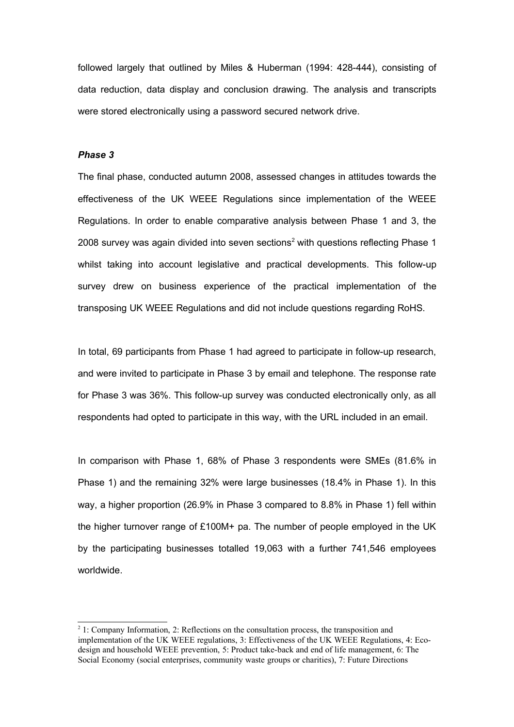followed largely that outlined by Miles & Huberman (1994: 428-444), consisting of data reduction, data display and conclusion drawing. The analysis and transcripts were stored electronically using a password secured network drive.

## *Phase 3*

The final phase, conducted autumn 2008, assessed changes in attitudes towards the effectiveness of the UK WEEE Regulations since implementation of the WEEE Regulations. In order to enable comparative analysis between Phase 1 and 3, the [2](#page-6-0)008 survey was again divided into seven sections<sup>2</sup> with questions reflecting Phase 1 whilst taking into account legislative and practical developments. This follow-up survey drew on business experience of the practical implementation of the transposing UK WEEE Regulations and did not include questions regarding RoHS.

In total, 69 participants from Phase 1 had agreed to participate in follow-up research, and were invited to participate in Phase 3 by email and telephone. The response rate for Phase 3 was 36%. This follow-up survey was conducted electronically only, as all respondents had opted to participate in this way, with the URL included in an email.

In comparison with Phase 1, 68% of Phase 3 respondents were SMEs (81.6% in Phase 1) and the remaining 32% were large businesses (18.4% in Phase 1). In this way, a higher proportion (26.9% in Phase 3 compared to 8.8% in Phase 1) fell within the higher turnover range of £100M+ pa. The number of people employed in the UK by the participating businesses totalled 19,063 with a further 741,546 employees worldwide.

<span id="page-6-0"></span><sup>&</sup>lt;sup>2</sup> 1: Company Information, 2: Reflections on the consultation process, the transposition and implementation of the UK WEEE regulations, 3: Effectiveness of the UK WEEE Regulations, 4: Ecodesign and household WEEE prevention, 5: Product take-back and end of life management, 6: The Social Economy (social enterprises, community waste groups or charities), 7: Future Directions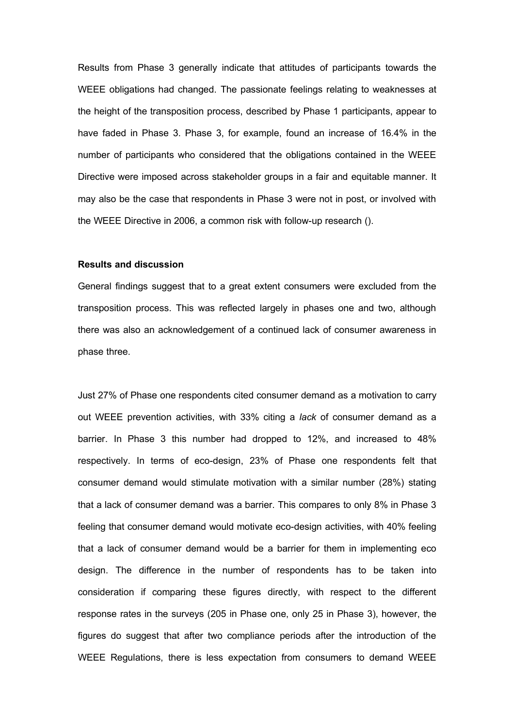Results from Phase 3 generally indicate that attitudes of participants towards the WEEE obligations had changed. The passionate feelings relating to weaknesses at the height of the transposition process, described by Phase 1 participants, appear to have faded in Phase 3. Phase 3, for example, found an increase of 16.4% in the number of participants who considered that the obligations contained in the WEEE Directive were imposed across stakeholder groups in a fair and equitable manner. It may also be the case that respondents in Phase 3 were not in post, or involved with the WEEE Directive in 2006, a common risk with follow-up research ().

### **Results and discussion**

General findings suggest that to a great extent consumers were excluded from the transposition process. This was reflected largely in phases one and two, although there was also an acknowledgement of a continued lack of consumer awareness in phase three.

Just 27% of Phase one respondents cited consumer demand as a motivation to carry out WEEE prevention activities, with 33% citing a *lack* of consumer demand as a barrier. In Phase 3 this number had dropped to 12%, and increased to 48% respectively. In terms of eco-design, 23% of Phase one respondents felt that consumer demand would stimulate motivation with a similar number (28%) stating that a lack of consumer demand was a barrier. This compares to only 8% in Phase 3 feeling that consumer demand would motivate eco-design activities, with 40% feeling that a lack of consumer demand would be a barrier for them in implementing eco design. The difference in the number of respondents has to be taken into consideration if comparing these figures directly, with respect to the different response rates in the surveys (205 in Phase one, only 25 in Phase 3), however, the figures do suggest that after two compliance periods after the introduction of the WEEE Regulations, there is less expectation from consumers to demand WEEE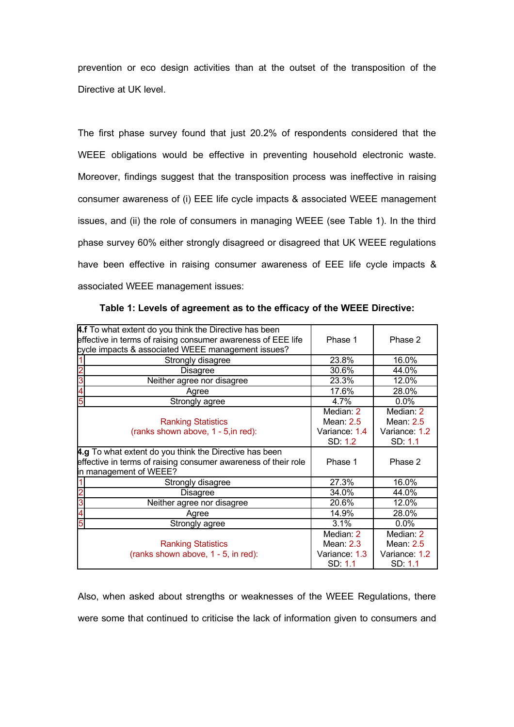prevention or eco design activities than at the outset of the transposition of the Directive at UK level.

The first phase survey found that just 20.2% of respondents considered that the WEEE obligations would be effective in preventing household electronic waste. Moreover, findings suggest that the transposition process was ineffective in raising consumer awareness of (i) EEE life cycle impacts & associated WEEE management issues, and (ii) the role of consumers in managing WEEE (see Table 1). In the third phase survey 60% either strongly disagreed or disagreed that UK WEEE regulations have been effective in raising consumer awareness of EEE life cycle impacts & associated WEEE management issues:

| 4.f To what extent do you think the Directive has been<br>effective in terms of raising consumer awareness of EEE life<br>cycle impacts & associated WEEE management issues? | Phase 1                                              | Phase 2                                              |
|------------------------------------------------------------------------------------------------------------------------------------------------------------------------------|------------------------------------------------------|------------------------------------------------------|
| Strongly disagree                                                                                                                                                            | 23.8%                                                | 16.0%                                                |
| <b>Disagree</b>                                                                                                                                                              | 30.6%                                                | 44.0%                                                |
| 3<br>Neither agree nor disagree                                                                                                                                              | 23.3%                                                | 12.0%                                                |
| Agree                                                                                                                                                                        | 17.6%                                                | 28.0%                                                |
| 5<br>Strongly agree                                                                                                                                                          | 4.7%                                                 | $0.0\%$                                              |
| <b>Ranking Statistics</b><br>(ranks shown above, 1 - 5, in red):                                                                                                             | Median: 2<br>Mean: $2.5$<br>Variance: 1.4<br>SD: 1.2 | Median: 2<br>Mean: $2.5$<br>Variance: 1.2<br>SD: 1.1 |
| 4.g To what extent do you think the Directive has been<br>effective in terms of raising consumer awareness of their role<br>in management of WEEE?                           | Phase 1                                              | Phase 2                                              |
| Strongly disagree                                                                                                                                                            | 27.3%                                                | 16.0%                                                |
| <b>Disagree</b>                                                                                                                                                              | 34.0%                                                | 44.0%                                                |
| 3<br>Neither agree nor disagree                                                                                                                                              | 20.6%                                                | 12.0%                                                |
| 4<br>Agree                                                                                                                                                                   | 14.9%                                                | 28.0%                                                |
| 5<br>Strongly agree                                                                                                                                                          | 3.1%                                                 | 0.0%                                                 |
| <b>Ranking Statistics</b><br>(ranks shown above, 1 - 5, in red):                                                                                                             | Median: 2<br>Mean: $2.3$<br>Variance: 1.3<br>SD: 1.1 | Median: 2<br>Mean: $2.5$<br>Variance: 1.2<br>SD: 1.1 |

**Table 1: Levels of agreement as to the efficacy of the WEEE Directive:**

Also, when asked about strengths or weaknesses of the WEEE Regulations, there were some that continued to criticise the lack of information given to consumers and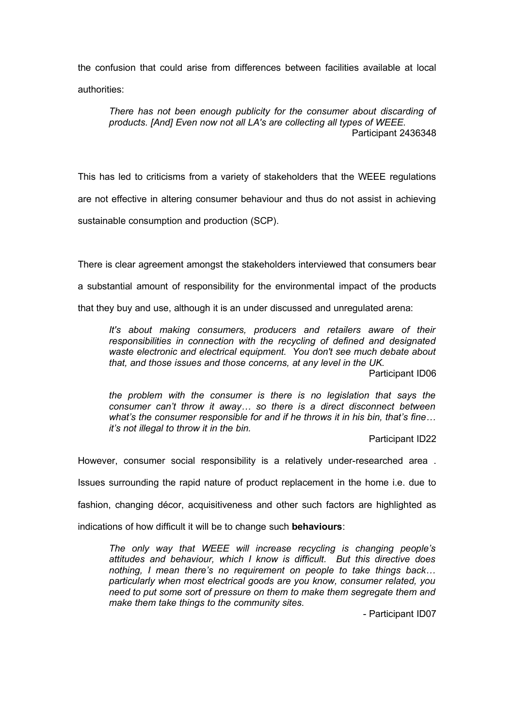the confusion that could arise from differences between facilities available at local authorities:

*There has not been enough publicity for the consumer about discarding of products. [And] Even now not all LA's are collecting all types of WEEE.* Participant 2436348

This has led to criticisms from a variety of stakeholders that the WEEE regulations are not effective in altering consumer behaviour and thus do not assist in achieving sustainable consumption and production (SCP).

There is clear agreement amongst the stakeholders interviewed that consumers bear a substantial amount of responsibility for the environmental impact of the products that they buy and use, although it is an under discussed and unregulated arena:

*It's about making consumers, producers and retailers aware of their responsibilities in connection with the recycling of defined and designated waste electronic and electrical equipment. You don't see much debate about that, and those issues and those concerns, at any level in the UK.* 

Participant ID06

*the problem with the consumer is there is no legislation that says the consumer can't throw it away… so there is a direct disconnect between what's the consumer responsible for and if he throws it in his bin, that's fine… it's not illegal to throw it in the bin.*

Participant ID22

However, consumer social responsibility is a relatively under-researched area .

Issues surrounding the rapid nature of product replacement in the home i.e. due to

fashion, changing décor, acquisitiveness and other such factors are highlighted as

indications of how difficult it will be to change such **behaviours**:

*The only way that WEEE will increase recycling is changing people's attitudes and behaviour, which I know is difficult. But this directive does nothing, I mean there's no requirement on people to take things back… particularly when most electrical goods are you know, consumer related, you need to put some sort of pressure on them to make them segregate them and make them take things to the community sites.*

- Participant ID07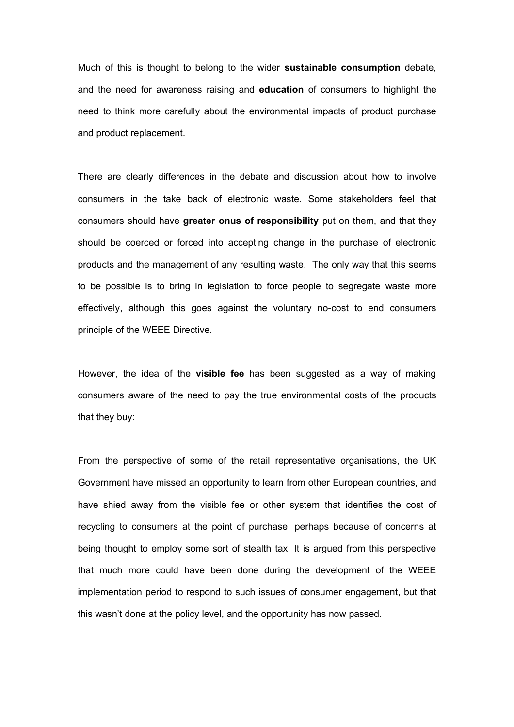Much of this is thought to belong to the wider **sustainable consumption** debate, and the need for awareness raising and **education** of consumers to highlight the need to think more carefully about the environmental impacts of product purchase and product replacement.

There are clearly differences in the debate and discussion about how to involve consumers in the take back of electronic waste. Some stakeholders feel that consumers should have **greater onus of responsibility** put on them, and that they should be coerced or forced into accepting change in the purchase of electronic products and the management of any resulting waste. The only way that this seems to be possible is to bring in legislation to force people to segregate waste more effectively, although this goes against the voluntary no-cost to end consumers principle of the WEEE Directive.

However, the idea of the **visible fee** has been suggested as a way of making consumers aware of the need to pay the true environmental costs of the products that they buy:

From the perspective of some of the retail representative organisations, the UK Government have missed an opportunity to learn from other European countries, and have shied away from the visible fee or other system that identifies the cost of recycling to consumers at the point of purchase, perhaps because of concerns at being thought to employ some sort of stealth tax. It is argued from this perspective that much more could have been done during the development of the WEEE implementation period to respond to such issues of consumer engagement, but that this wasn't done at the policy level, and the opportunity has now passed.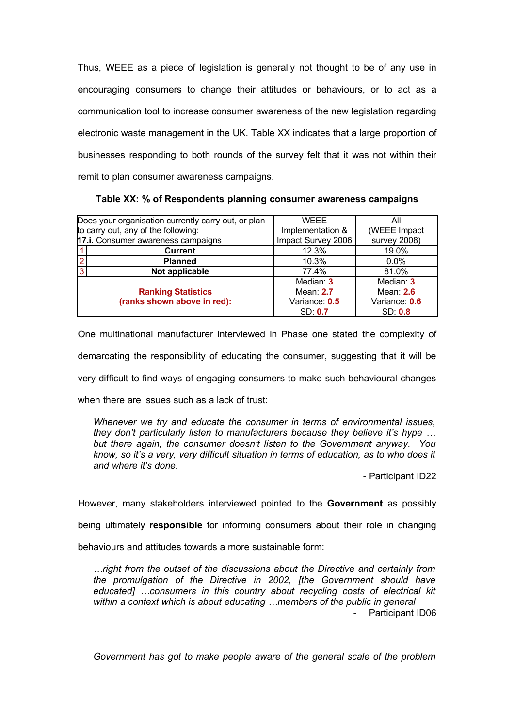Thus, WEEE as a piece of legislation is generally not thought to be of any use in encouraging consumers to change their attitudes or behaviours, or to act as a communication tool to increase consumer awareness of the new legislation regarding electronic waste management in the UK. Table XX indicates that a large proportion of businesses responding to both rounds of the survey felt that it was not within their remit to plan consumer awareness campaigns.

| Does your organisation currently carry out, or plan | WFFF               | All            |
|-----------------------------------------------------|--------------------|----------------|
| to carry out, any of the following:                 | Implementation &   | (WEEE Impact   |
| 17.i. Consumer awareness campaigns                  | Impact Survey 2006 | survey 2008)   |
| <b>Current</b>                                      | 12.3%              | 19.0%          |
| $\overline{2}$<br><b>Planned</b>                    | 10.3%              | $0.0\%$        |
| 3<br>Not applicable                                 | 77.4%              | 81.0%          |
|                                                     | Median: 3          | Median: 3      |
| <b>Ranking Statistics</b>                           | Mean: 2.7          | Mean: $2.6$    |
| (ranks shown above in red):                         | Variance: 0.5      | Variance: 0.6  |
|                                                     | SD: 0.7            | <b>SD: 0.8</b> |

**Table XX: % of Respondents planning consumer awareness campaigns**

One multinational manufacturer interviewed in Phase one stated the complexity of demarcating the responsibility of educating the consumer, suggesting that it will be very difficult to find ways of engaging consumers to make such behavioural changes when there are issues such as a lack of trust:

*Whenever we try and educate the consumer in terms of environmental issues, they don't particularly listen to manufacturers because they believe it's hype … but there again, the consumer doesn't listen to the Government anyway. You know, so it's a very, very difficult situation in terms of education, as to who does it and where it's done.* 

- Participant ID22

However, many stakeholders interviewed pointed to the **Government** as possibly

being ultimately **responsible** for informing consumers about their role in changing

behaviours and attitudes towards a more sustainable form:

*…right from the outset of the discussions about the Directive and certainly from the promulgation of the Directive in 2002, [the Government should have educated] …consumers in this country about recycling costs of electrical kit within a context which is about educating …members of the public in general* - Participant ID06

*Government has got to make people aware of the general scale of the problem*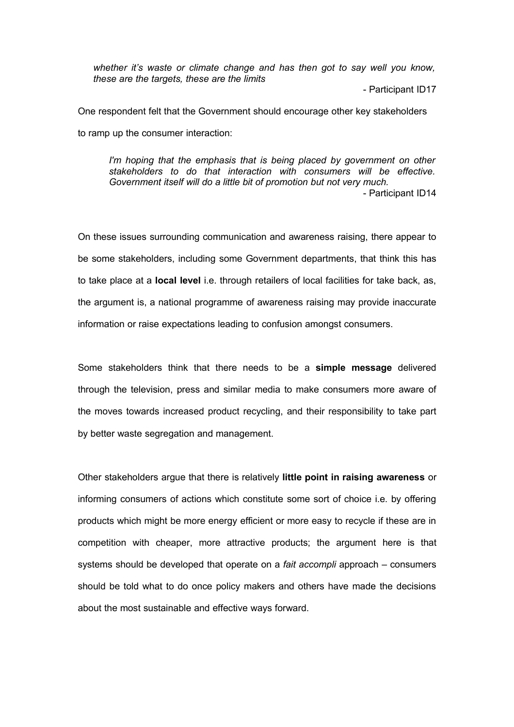*whether it's waste or climate change and has then got to say well you know, these are the targets, these are the limits*

- Participant ID17

One respondent felt that the Government should encourage other key stakeholders to ramp up the consumer interaction:

*I'm hoping that the emphasis that is being placed by government on other stakeholders to do that interaction with consumers will be effective. Government itself will do a little bit of promotion but not very much.*  - Participant ID14

On these issues surrounding communication and awareness raising, there appear to be some stakeholders, including some Government departments, that think this has to take place at a **local level** i.e. through retailers of local facilities for take back, as, the argument is, a national programme of awareness raising may provide inaccurate information or raise expectations leading to confusion amongst consumers.

Some stakeholders think that there needs to be a **simple message** delivered through the television, press and similar media to make consumers more aware of the moves towards increased product recycling, and their responsibility to take part by better waste segregation and management.

Other stakeholders argue that there is relatively **little point in raising awareness** or informing consumers of actions which constitute some sort of choice i.e. by offering products which might be more energy efficient or more easy to recycle if these are in competition with cheaper, more attractive products; the argument here is that systems should be developed that operate on a *fait accompli* approach – consumers should be told what to do once policy makers and others have made the decisions about the most sustainable and effective ways forward.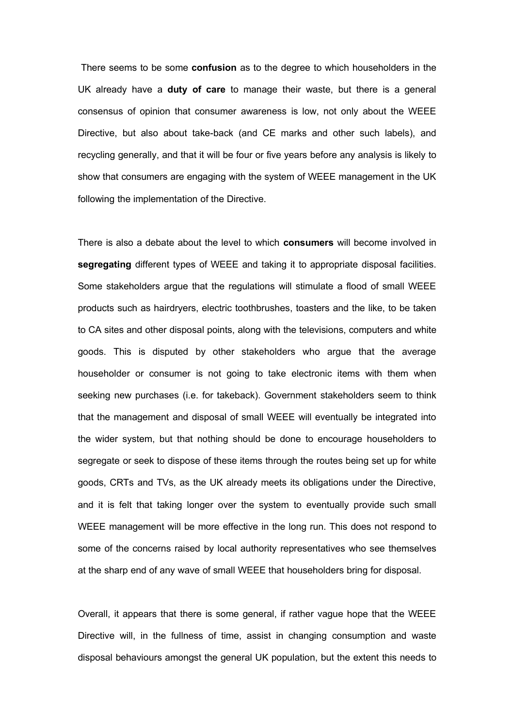There seems to be some **confusion** as to the degree to which householders in the UK already have a **duty of care** to manage their waste, but there is a general consensus of opinion that consumer awareness is low, not only about the WEEE Directive, but also about take-back (and CE marks and other such labels), and recycling generally, and that it will be four or five years before any analysis is likely to show that consumers are engaging with the system of WEEE management in the UK following the implementation of the Directive.

There is also a debate about the level to which **consumers** will become involved in **segregating** different types of WEEE and taking it to appropriate disposal facilities. Some stakeholders argue that the regulations will stimulate a flood of small WEEE products such as hairdryers, electric toothbrushes, toasters and the like, to be taken to CA sites and other disposal points, along with the televisions, computers and white goods. This is disputed by other stakeholders who argue that the average householder or consumer is not going to take electronic items with them when seeking new purchases (i.e. for takeback). Government stakeholders seem to think that the management and disposal of small WEEE will eventually be integrated into the wider system, but that nothing should be done to encourage householders to segregate or seek to dispose of these items through the routes being set up for white goods, CRTs and TVs, as the UK already meets its obligations under the Directive, and it is felt that taking longer over the system to eventually provide such small WEEE management will be more effective in the long run. This does not respond to some of the concerns raised by local authority representatives who see themselves at the sharp end of any wave of small WEEE that householders bring for disposal.

Overall, it appears that there is some general, if rather vague hope that the WEEE Directive will, in the fullness of time, assist in changing consumption and waste disposal behaviours amongst the general UK population, but the extent this needs to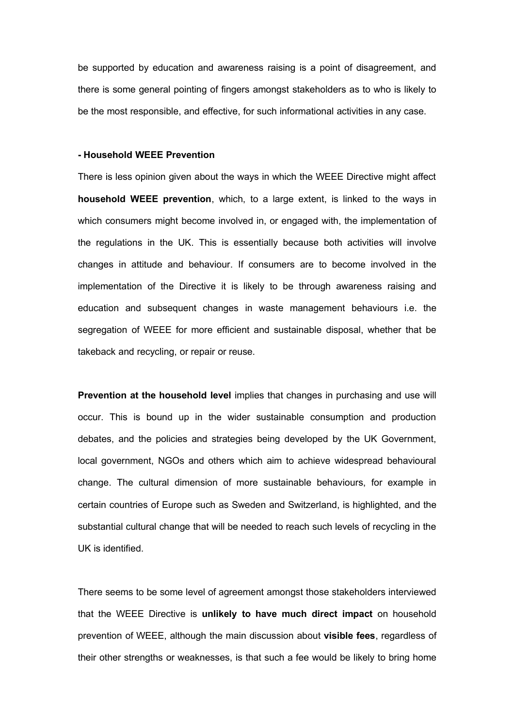be supported by education and awareness raising is a point of disagreement, and there is some general pointing of fingers amongst stakeholders as to who is likely to be the most responsible, and effective, for such informational activities in any case.

## **- Household WEEE Prevention**

There is less opinion given about the ways in which the WEEE Directive might affect **household WEEE prevention**, which, to a large extent, is linked to the ways in which consumers might become involved in, or engaged with, the implementation of the regulations in the UK. This is essentially because both activities will involve changes in attitude and behaviour. If consumers are to become involved in the implementation of the Directive it is likely to be through awareness raising and education and subsequent changes in waste management behaviours i.e. the segregation of WEEE for more efficient and sustainable disposal, whether that be takeback and recycling, or repair or reuse.

**Prevention at the household level implies that changes in purchasing and use will** occur. This is bound up in the wider sustainable consumption and production debates, and the policies and strategies being developed by the UK Government, local government, NGOs and others which aim to achieve widespread behavioural change. The cultural dimension of more sustainable behaviours, for example in certain countries of Europe such as Sweden and Switzerland, is highlighted, and the substantial cultural change that will be needed to reach such levels of recycling in the UK is identified.

There seems to be some level of agreement amongst those stakeholders interviewed that the WEEE Directive is **unlikely to have much direct impact** on household prevention of WEEE, although the main discussion about **visible fees**, regardless of their other strengths or weaknesses, is that such a fee would be likely to bring home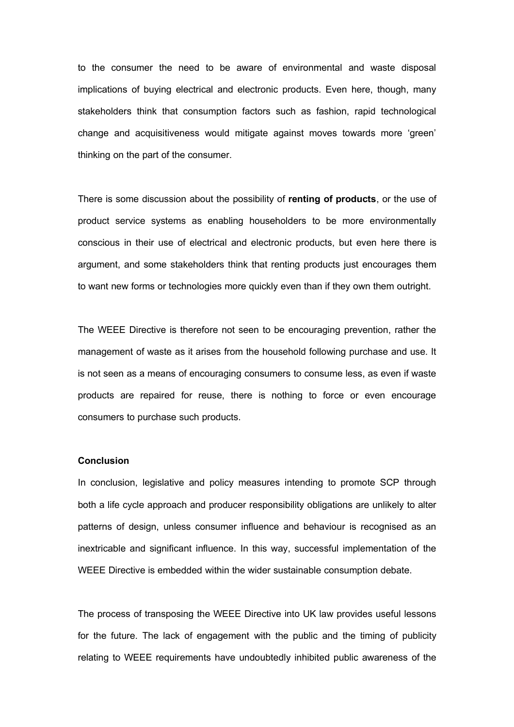to the consumer the need to be aware of environmental and waste disposal implications of buying electrical and electronic products. Even here, though, many stakeholders think that consumption factors such as fashion, rapid technological change and acquisitiveness would mitigate against moves towards more 'green' thinking on the part of the consumer.

There is some discussion about the possibility of **renting of products**, or the use of product service systems as enabling householders to be more environmentally conscious in their use of electrical and electronic products, but even here there is argument, and some stakeholders think that renting products just encourages them to want new forms or technologies more quickly even than if they own them outright.

The WEEE Directive is therefore not seen to be encouraging prevention, rather the management of waste as it arises from the household following purchase and use. It is not seen as a means of encouraging consumers to consume less, as even if waste products are repaired for reuse, there is nothing to force or even encourage consumers to purchase such products.

## **Conclusion**

In conclusion, legislative and policy measures intending to promote SCP through both a life cycle approach and producer responsibility obligations are unlikely to alter patterns of design, unless consumer influence and behaviour is recognised as an inextricable and significant influence. In this way, successful implementation of the WEEE Directive is embedded within the wider sustainable consumption debate.

The process of transposing the WEEE Directive into UK law provides useful lessons for the future. The lack of engagement with the public and the timing of publicity relating to WEEE requirements have undoubtedly inhibited public awareness of the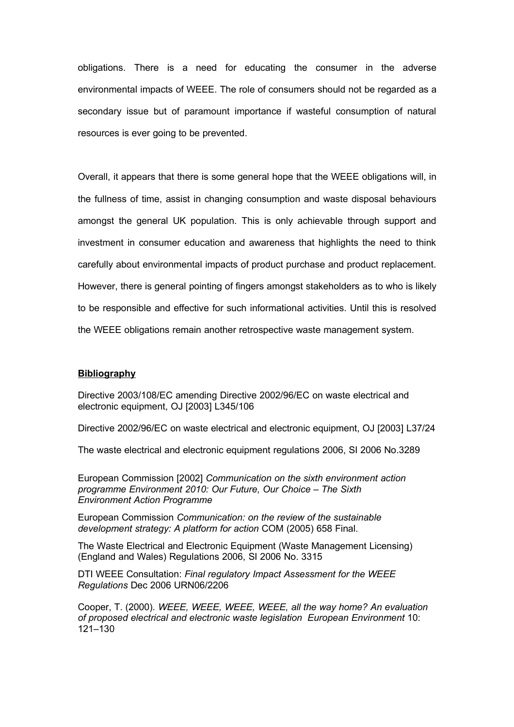obligations. There is a need for educating the consumer in the adverse environmental impacts of WEEE. The role of consumers should not be regarded as a secondary issue but of paramount importance if wasteful consumption of natural resources is ever going to be prevented.

Overall, it appears that there is some general hope that the WEEE obligations will, in the fullness of time, assist in changing consumption and waste disposal behaviours amongst the general UK population. This is only achievable through support and investment in consumer education and awareness that highlights the need to think carefully about environmental impacts of product purchase and product replacement. However, there is general pointing of fingers amongst stakeholders as to who is likely to be responsible and effective for such informational activities. Until this is resolved the WEEE obligations remain another retrospective waste management system.

## **Bibliography**

Directive 2003/108/EC amending Directive 2002/96/EC on waste electrical and electronic equipment, OJ [2003] L345/106

Directive 2002/96/EC on waste electrical and electronic equipment, OJ [2003] L37/24

The waste electrical and electronic equipment regulations 2006, SI 2006 No.3289

European Commission [2002] *Communication on the sixth environment action programme Environment 2010: Our Future, Our Choice – The Sixth Environment Action Programme*

European Commission *Communication: on the review of the sustainable development strategy: A platform for action* COM (2005) 658 Final.

The Waste Electrical and Electronic Equipment (Waste Management Licensing) (England and Wales) Regulations 2006, SI 2006 No. 3315

DTI WEEE Consultation: *Final regulatory Impact Assessment for the WEEE Regulations* Dec 2006 URN06/2206

Cooper, T. (2000). *WEEE, WEEE, WEEE, WEEE, all the way home? An evaluation of proposed electrical and electronic waste legislation European Environment* 10: 121–130